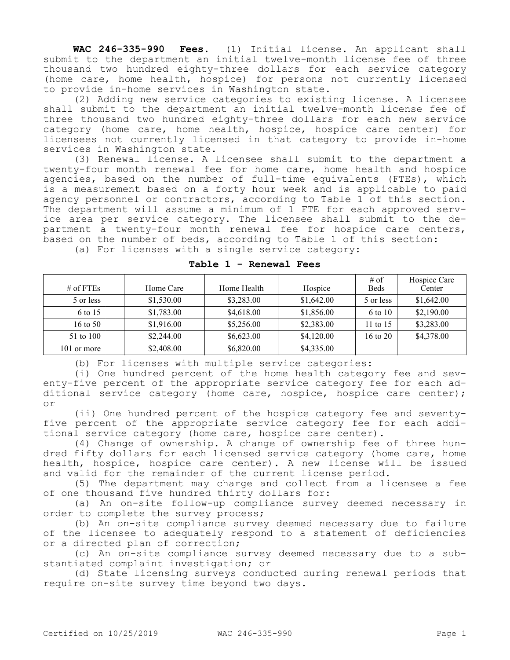**WAC 246-335-990 Fees.** (1) Initial license. An applicant shall submit to the department an initial twelve-month license fee of three thousand two hundred eighty-three dollars for each service category (home care, home health, hospice) for persons not currently licensed to provide in-home services in Washington state.

(2) Adding new service categories to existing license. A licensee shall submit to the department an initial twelve-month license fee of three thousand two hundred eighty-three dollars for each new service category (home care, home health, hospice, hospice care center) for licensees not currently licensed in that category to provide in-home services in Washington state.

(3) Renewal license. A licensee shall submit to the department a twenty-four month renewal fee for home care, home health and hospice agencies, based on the number of full-time equivalents (FTEs), which is a measurement based on a forty hour week and is applicable to paid agency personnel or contractors, according to Table 1 of this section. The department will assume a minimum of 1 FTE for each approved service area per service category. The licensee shall submit to the department a twenty-four month renewal fee for hospice care centers, based on the number of beds, according to Table 1 of this section: (a) For licenses with a single service category:

| # of FTEs   | Home Care  | Home Health | Hospice    | $#$ of<br><b>Beds</b> | Hospice Care<br>Center |
|-------------|------------|-------------|------------|-----------------------|------------------------|
| 5 or less   | \$1,530.00 | \$3,283.00  | \$1,642.00 | 5 or less             | \$1,642.00             |
| 6 to 15     | \$1,783.00 | \$4,618.00  | \$1,856.00 | 6 to 10               | \$2,190.00             |
| 16 to 50    | \$1,916.00 | \$5,256.00  | \$2,383.00 | 11 to $15$            | \$3,283.00             |
| 51 to 100   | \$2,244.00 | \$6,623.00  | \$4,120.00 | 16 to 20              | \$4,378.00             |
| 101 or more | \$2,408.00 | \$6,820.00  | \$4,335.00 |                       |                        |

## **Table 1 - Renewal Fees**

(b) For licenses with multiple service categories:

(i) One hundred percent of the home health category fee and seventy-five percent of the appropriate service category fee for each additional service category (home care, hospice, hospice care center); or

(ii) One hundred percent of the hospice category fee and seventyfive percent of the appropriate service category fee for each additional service category (home care, hospice care center).

(4) Change of ownership. A change of ownership fee of three hundred fifty dollars for each licensed service category (home care, home health, hospice, hospice care center). A new license will be issued and valid for the remainder of the current license period.

(5) The department may charge and collect from a licensee a fee of one thousand five hundred thirty dollars for:

(a) An on-site follow-up compliance survey deemed necessary in order to complete the survey process;

(b) An on-site compliance survey deemed necessary due to failure of the licensee to adequately respond to a statement of deficiencies or a directed plan of correction;

(c) An on-site compliance survey deemed necessary due to a substantiated complaint investigation; or

(d) State licensing surveys conducted during renewal periods that require on-site survey time beyond two days.